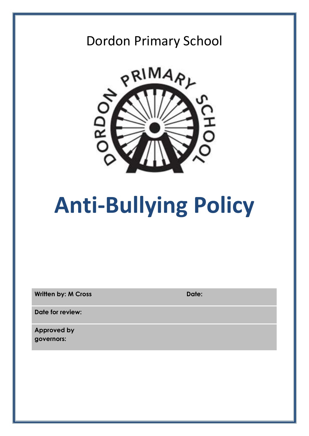# Dordon Primary School



# **Anti-Bullying Policy**

**Written by: M Cross Date: Date:** 

**Date for review:**

**Approved by governors:**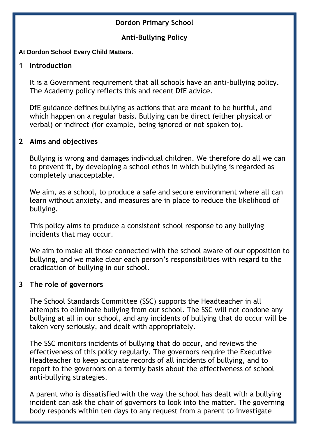#### **Dordon Primary School**

#### **Anti-Bullying Policy**

#### **At Dordon School Every Child Matters.**

#### **1 Introduction**

It is a Government requirement that all schools have an anti-bullying policy. The Academy policy reflects this and recent DfE advice.

DfE guidance defines bullying as actions that are meant to be hurtful, and which happen on a regular basis. Bullying can be direct (either physical or verbal) or indirect (for example, being ignored or not spoken to).

#### **2 Aims and objectives**

Bullying is wrong and damages individual children. We therefore do all we can to prevent it, by developing a school ethos in which bullying is regarded as completely unacceptable.

We aim, as a school, to produce a safe and secure environment where all can learn without anxiety, and measures are in place to reduce the likelihood of bullying.

This policy aims to produce a consistent school response to any bullying incidents that may occur.

We aim to make all those connected with the school aware of our opposition to bullying, and we make clear each person's responsibilities with regard to the eradication of bullying in our school.

#### **3 The role of governors**

The School Standards Committee (SSC) supports the Headteacher in all attempts to eliminate bullying from our school. The SSC will not condone any bullying at all in our school, and any incidents of bullying that do occur will be taken very seriously, and dealt with appropriately.

The SSC monitors incidents of bullying that do occur, and reviews the effectiveness of this policy regularly. The governors require the Executive Headteacher to keep accurate records of all incidents of bullying, and to report to the governors on a termly basis about the effectiveness of school anti-bullying strategies.

A parent who is dissatisfied with the way the school has dealt with a bullying incident can ask the chair of governors to look into the matter. The governing body responds within ten days to any request from a parent to investigate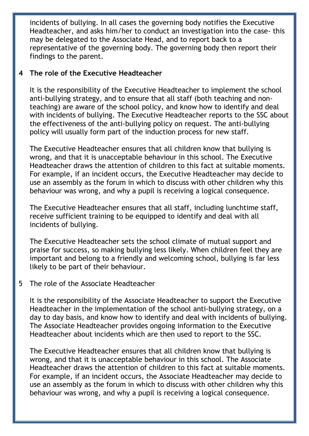incidents of bullying. In all cases the governing body notifies the Executive Headteacher, and asks him/her to conduct an investigation into the case- this may be delegated to the Associate Head, and to report back to a representative of the governing body. The governing body then report their findings to the parent.

#### **4 The role of the Executive Headteacher**

It is the responsibility of the Executive Headteacher to implement the school anti-bullying strategy, and to ensure that all staff (both teaching and nonteaching) are aware of the school policy, and know how to identify and deal with incidents of bullying. The Executive Headteacher reports to the SSC about the effectiveness of the anti-bullying policy on request. The anti-bullying policy will usually form part of the induction process for new staff.

The Executive Headteacher ensures that all children know that bullying is wrong, and that it is unacceptable behaviour in this school. The Executive Headteacher draws the attention of children to this fact at suitable moments. For example, if an incident occurs, the Executive Headteacher may decide to use an assembly as the forum in which to discuss with other children why this behaviour was wrong, and why a pupil is receiving a logical consequence.

The Executive Headteacher ensures that all staff, including lunchtime staff, receive sufficient training to be equipped to identify and deal with all incidents of bullying.

The Executive Headteacher sets the school climate of mutual support and praise for success, so making bullying less likely. When children feel they are important and belong to a friendly and welcoming school, bullying is far less likely to be part of their behaviour.

#### 5 The role of the Associate Headteacher

It is the responsibility of the Associate Headteacher to support the Executive Headteacher in the implementation of the school anti-bullying strategy, on a day to day basis, and know how to identify and deal with incidents of bullying. The Associate Headteacher provides ongoing information to the Executive Headteacher about incidents which are then used to report to the SSC.

The Executive Headteacher ensures that all children know that bullying is wrong, and that it is unacceptable behaviour in this school. The Associate Headteacher draws the attention of children to this fact at suitable moments. For example, if an incident occurs, the Associate Headteacher may decide to use an assembly as the forum in which to discuss with other children why this behaviour was wrong, and why a pupil is receiving a logical consequence.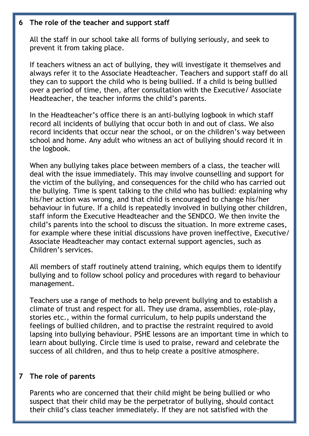#### **6 The role of the teacher and support staff**

All the staff in our school take all forms of bullying seriously, and seek to prevent it from taking place.

If teachers witness an act of bullying, they will investigate it themselves and always refer it to the Associate Headteacher. Teachers and support staff do all they can to support the child who is being bullied. If a child is being bullied over a period of time, then, after consultation with the Executive/ Associate Headteacher, the teacher informs the child's parents.

In the Headteacher's office there is an anti-bullying logbook in which staff record all incidents of bullying that occur both in and out of class. We also record incidents that occur near the school, or on the children's way between school and home. Any adult who witness an act of bullying should record it in the logbook.

When any bullying takes place between members of a class, the teacher will deal with the issue immediately. This may involve counselling and support for the victim of the bullying, and consequences for the child who has carried out the bullying. Time is spent talking to the child who has bullied: explaining why his/her action was wrong, and that child is encouraged to change his/her behaviour in future. If a child is repeatedly involved in bullying other children, staff inform the Executive Headteacher and the SENDCO. We then invite the child's parents into the school to discuss the situation. In more extreme cases, for example where these initial discussions have proven ineffective, Executive/ Associate Headteacher may contact external support agencies, such as Children's services.

All members of staff routinely attend training, which equips them to identify bullying and to follow school policy and procedures with regard to behaviour management.

Teachers use a range of methods to help prevent bullying and to establish a climate of trust and respect for all. They use drama, assemblies, role-play, stories etc., within the formal curriculum, to help pupils understand the feelings of bullied children, and to practise the restraint required to avoid lapsing into bullying behaviour. PSHE lessons are an important time in which to learn about bullying. Circle time is used to praise, reward and celebrate the success of all children, and thus to help create a positive atmosphere.

#### **7 The role of parents**

Parents who are concerned that their child might be being bullied or who suspect that their child may be the perpetrator of bullying, should contact their child's class teacher immediately. If they are not satisfied with the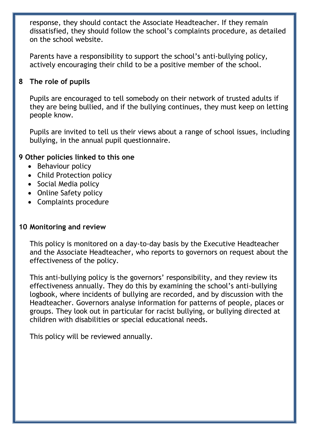response, they should contact the Associate Headteacher. If they remain dissatisfied, they should follow the school's complaints procedure, as detailed on the school website.

Parents have a responsibility to support the school's anti-bullying policy, actively encouraging their child to be a positive member of the school.

#### **8 The role of pupils**

Pupils are encouraged to tell somebody on their network of trusted adults if they are being bullied, and if the bullying continues, they must keep on letting people know.

Pupils are invited to tell us their views about a range of school issues, including bullying, in the annual pupil questionnaire.

#### **9 Other policies linked to this one**

- Behaviour policy
- Child Protection policy
- Social Media policy
- Online Safety policy
- Complaints procedure

#### **10 Monitoring and review**

This policy is monitored on a day-to-day basis by the Executive Headteacher and the Associate Headteacher, who reports to governors on request about the effectiveness of the policy.

This anti-bullying policy is the governors' responsibility, and they review its effectiveness annually. They do this by examining the school's anti-bullying logbook, where incidents of bullying are recorded, and by discussion with the Headteacher. Governors analyse information for patterns of people, places or groups. They look out in particular for racist bullying, or bullying directed at children with disabilities or special educational needs.

This policy will be reviewed annually.